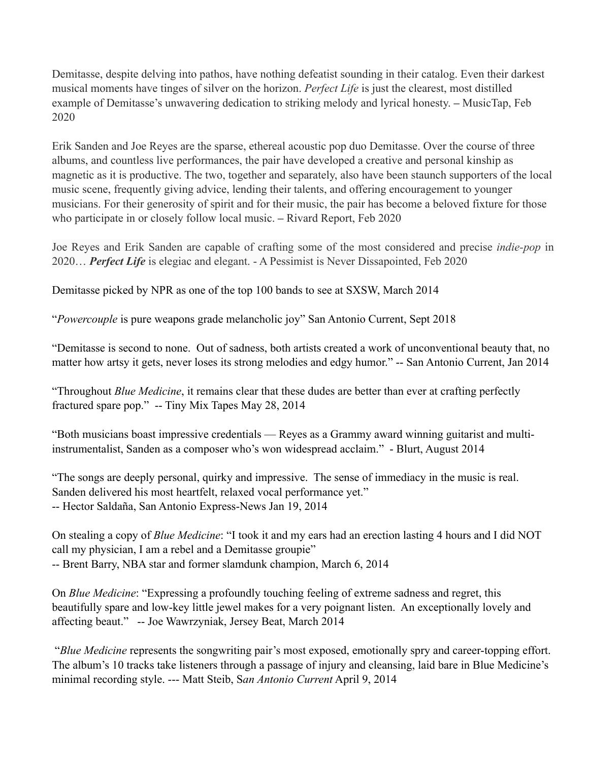Demitasse, despite delving into pathos, have nothing defeatist sounding in their catalog. Even their darkest musical moments have tinges of silver on the horizon. *Perfect Life* is just the clearest, most distilled example of Demitasse's unwavering dedication to striking melody and lyrical honesty. **–** MusicTap, Feb 2020

Erik Sanden and Joe Reyes are the sparse, ethereal acoustic pop duo Demitasse. Over the course of three albums, and countless live performances, the pair have developed a creative and personal kinship as magnetic as it is productive. The two, together and separately, also have been staunch supporters of the local music scene, frequently giving advice, lending their talents, and offering encouragement to younger musicians. For their generosity of spirit and for their music, the pair has become a beloved fixture for those who participate in or closely follow local music. **–** Rivard Report, Feb 2020

Joe Reyes and Erik Sanden are capable of crafting some of the most considered and precise *indie-pop* in 2020… *Perfect Life* is elegiac and elegant. - A Pessimist is Never Dissapointed, Feb 2020

Demitasse picked by NPR as one of the top 100 bands to see at SXSW, March 2014

"*Powercouple* is pure weapons grade melancholic joy" San Antonio Current, Sept 2018

"Demitasse is second to none. Out of sadness, both artists created a work of unconventional beauty that, no matter how artsy it gets, never loses its strong melodies and edgy humor." -- San Antonio Current, Jan 2014

"Throughout *Blue Medicine*, it remains clear that these dudes are better than ever at crafting perfectly fractured spare pop." -- Tiny Mix Tapes May 28, 2014

"Both musicians boast impressive credentials — Reyes as a Grammy award winning guitarist and multiinstrumentalist, Sanden as a composer who's won widespread acclaim." - Blurt, August 2014

"The songs are deeply personal, quirky and impressive. The sense of immediacy in the music is real. Sanden delivered his most heartfelt, relaxed vocal performance yet." -- Hector Saldaña, San Antonio Express-News Jan 19, 2014

On stealing a copy of *Blue Medicine*: "I took it and my ears had an erection lasting 4 hours and I did NOT call my physician, I am a rebel and a Demitasse groupie"

-- Brent Barry, NBA star and former slamdunk champion, March 6, 2014

On *Blue Medicine*: "Expressing a profoundly touching feeling of extreme sadness and regret, this beautifully spare and low-key little jewel makes for a very poignant listen. An exceptionally lovely and affecting beaut." -- Joe Wawrzyniak, Jersey Beat, March 2014

 "*Blue Medicine* represents the songwriting pair's most exposed, emotionally spry and career-topping effort. The album's 10 tracks take listeners through a passage of injury and cleansing, laid bare in Blue Medicine's minimal recording style. --- Matt Steib, S*an Antonio Current* April 9, 2014